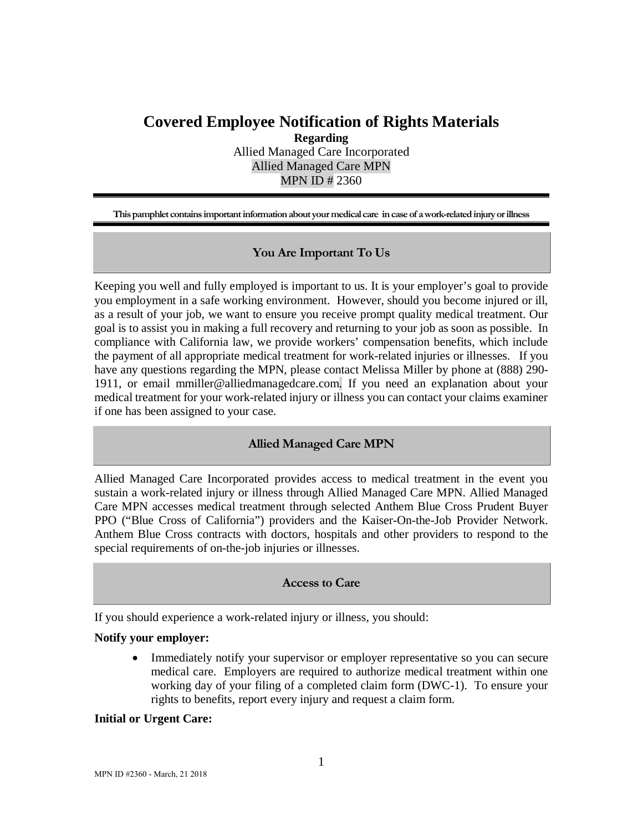# **Covered Employee Notification of Rights Materials**

**Regarding** Allied Managed Care Incorporated Allied Managed Care MPN MPN ID # 2360

**This pamphlet contains important information about your medical care in case of a work-related injury or illness**

# **You Are Important To Us**

Keeping you well and fully employed is important to us. It is your employer's goal to provide you employment in a safe working environment. However, should you become injured or ill, as a result of your job, we want to ensure you receive prompt quality medical treatment. Our goal is to assist you in making a full recovery and returning to your job as soon as possible. In compliance with California law, we provide workers' compensation benefits, which include the payment of all appropriate medical treatment for work-related injuries or illnesses. If you have any questions regarding the MPN, please contact Melissa Miller by phone at (888) 290- 1911, or email mmiller@alliedmanagedcare.com. If you need an explanation about your medical treatment for your work-related injury or illness you can contact your claims examiner if one has been assigned to your case.

# **Allied Managed Care MPN**

Allied Managed Care Incorporated provides access to medical treatment in the event you sustain a work-related injury or illness through Allied Managed Care MPN. Allied Managed Care MPN accesses medical treatment through selected Anthem Blue Cross Prudent Buyer PPO ("Blue Cross of California") providers and the Kaiser-On-the-Job Provider Network. Anthem Blue Cross contracts with doctors, hospitals and other providers to respond to the special requirements of on-the-job injuries or illnesses.

#### **Access to Care**

If you should experience a work-related injury or illness, you should:

#### **Notify your employer:**

• Immediately notify your supervisor or employer representative so you can secure medical care. Employers are required to authorize medical treatment within one working day of your filing of a completed claim form (DWC-1). To ensure your rights to benefits, report every injury and request a claim form.

#### **Initial or Urgent Care:**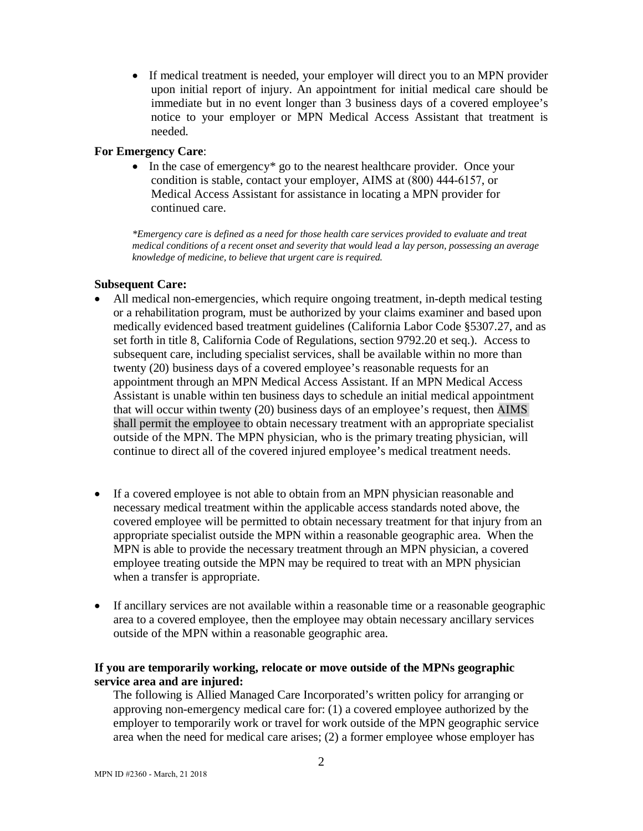• If medical treatment is needed, your employer will direct you to an MPN provider upon initial report of injury. An appointment for initial medical care should be immediate but in no event longer than 3 business days of a covered employee's notice to your employer or MPN Medical Access Assistant that treatment is needed.

### **For Emergency Care**:

• In the case of emergency<sup>\*</sup> go to the nearest healthcare provider. Once your condition is stable, contact your employer, AIMS at (800) 444-6157, or Medical Access Assistant for assistance in locating a MPN provider for continued care.

*\*Emergency care is defined as a need for those health care services provided to evaluate and treat medical conditions of a recent onset and severity that would lead a lay person, possessing an average knowledge of medicine, to believe that urgent care is required.* 

### **Subsequent Care:**

- All medical non-emergencies, which require ongoing treatment, in-depth medical testing or a rehabilitation program, must be authorized by your claims examiner and based upon medically evidenced based treatment guidelines (California Labor Code §5307.27, and as set forth in title 8, California Code of Regulations, section 9792.20 et seq.). Access to subsequent care, including specialist services, shall be available within no more than twenty (20) business days of a covered employee's reasonable requests for an appointment through an MPN Medical Access Assistant. If an MPN Medical Access Assistant is unable within ten business days to schedule an initial medical appointment that will occur within twenty (20) business days of an employee's request, then AIMS shall permit the employee to obtain necessary treatment with an appropriate specialist outside of the MPN. The MPN physician, who is the primary treating physician, will continue to direct all of the covered injured employee's medical treatment needs.
- If a covered employee is not able to obtain from an MPN physician reasonable and necessary medical treatment within the applicable access standards noted above, the covered employee will be permitted to obtain necessary treatment for that injury from an appropriate specialist outside the MPN within a reasonable geographic area. When the MPN is able to provide the necessary treatment through an MPN physician, a covered employee treating outside the MPN may be required to treat with an MPN physician when a transfer is appropriate.
- If ancillary services are not available within a reasonable time or a reasonable geographic area to a covered employee, then the employee may obtain necessary ancillary services outside of the MPN within a reasonable geographic area.

# **If you are temporarily working, relocate or move outside of the MPNs geographic service area and are injured:**

The following is Allied Managed Care Incorporated's written policy for arranging or approving non-emergency medical care for: (1) a covered employee authorized by the employer to temporarily work or travel for work outside of the MPN geographic service area when the need for medical care arises; (2) a former employee whose employer has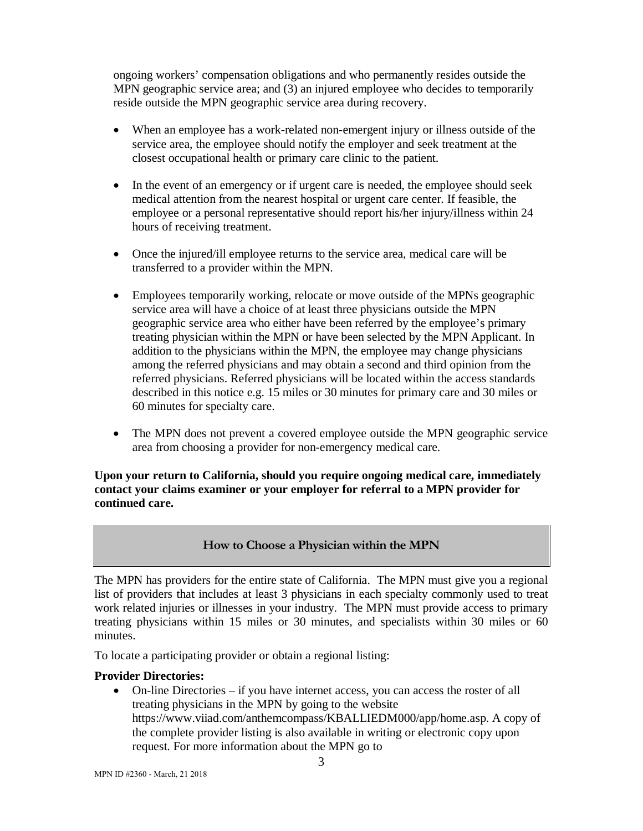ongoing workers' compensation obligations and who permanently resides outside the MPN geographic service area; and (3) an injured employee who decides to temporarily reside outside the MPN geographic service area during recovery.

- When an employee has a work-related non-emergent injury or illness outside of the service area, the employee should notify the employer and seek treatment at the closest occupational health or primary care clinic to the patient.
- In the event of an emergency or if urgent care is needed, the employee should seek medical attention from the nearest hospital or urgent care center. If feasible, the employee or a personal representative should report his/her injury/illness within 24 hours of receiving treatment.
- Once the injured/ill employee returns to the service area, medical care will be transferred to a provider within the MPN.
- Employees temporarily working, relocate or move outside of the MPNs geographic service area will have a choice of at least three physicians outside the MPN geographic service area who either have been referred by the employee's primary treating physician within the MPN or have been selected by the MPN Applicant. In addition to the physicians within the MPN, the employee may change physicians among the referred physicians and may obtain a second and third opinion from the referred physicians. Referred physicians will be located within the access standards described in this notice e.g. 15 miles or 30 minutes for primary care and 30 miles or 60 minutes for specialty care.
- The MPN does not prevent a covered employee outside the MPN geographic service area from choosing a provider for non-emergency medical care.

**Upon your return to California, should you require ongoing medical care, immediately contact your claims examiner or your employer for referral to a MPN provider for continued care.** 

# **How to Choose a Physician within the MPN**

The MPN has providers for the entire state of California. The MPN must give you a regional list of providers that includes at least 3 physicians in each specialty commonly used to treat work related injuries or illnesses in your industry. The MPN must provide access to primary treating physicians within 15 miles or 30 minutes, and specialists within 30 miles or 60 minutes.

To locate a participating provider or obtain a regional listing:

#### **Provider Directories:**

• On-line Directories – if you have internet access, you can access the roster of all treating physicians in the MPN by going to the website https://www.viiad.com/anthemcompass/KBALLIEDM000/app/home.asp. A copy of the complete provider listing is also available in writing or electronic copy upon request. For more information about the MPN go to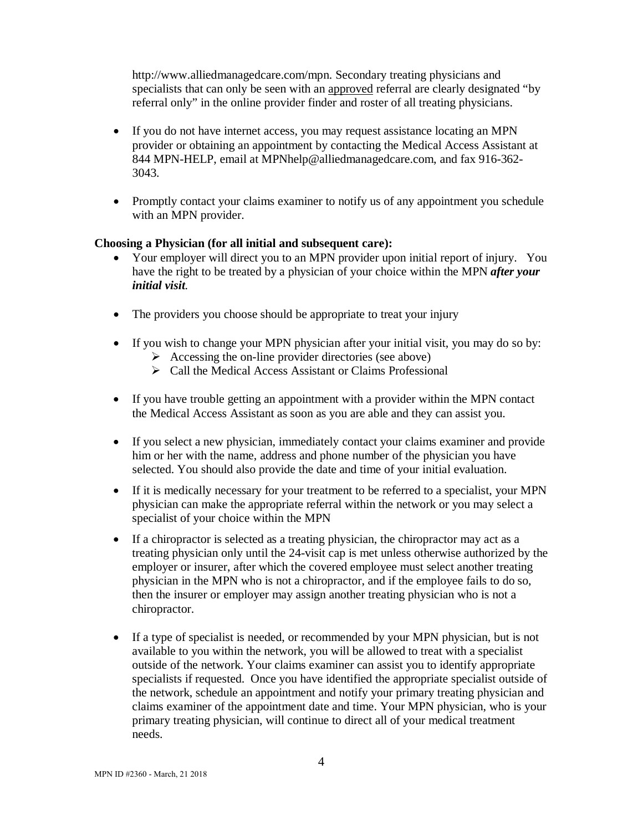http://www.alliedmanagedcare.com/mpn. Secondary treating physicians and specialists that can only be seen with an approved referral are clearly designated "by referral only" in the online provider finder and roster of all treating physicians.

- If you do not have internet access, you may request assistance locating an MPN provider or obtaining an appointment by contacting the Medical Access Assistant at 844 MPN-HELP, email at MPNhelp@alliedmanagedcare.com, and fax 916-362- 3043.
- Promptly contact your claims examiner to notify us of any appointment you schedule with an MPN provider.

### **Choosing a Physician (for all initial and subsequent care):**

- Your employer will direct you to an MPN provider upon initial report of injury. You have the right to be treated by a physician of your choice within the MPN *after your initial visit*.
- The providers you choose should be appropriate to treat your injury
- If you wish to change your MPN physician after your initial visit, you may do so by:
	- $\triangleright$  Accessing the on-line provider directories (see above)
	- $\triangleright$  Call the Medical Access Assistant or Claims Professional
- If you have trouble getting an appointment with a provider within the MPN contact the Medical Access Assistant as soon as you are able and they can assist you.
- If you select a new physician, immediately contact your claims examiner and provide him or her with the name, address and phone number of the physician you have selected. You should also provide the date and time of your initial evaluation.
- If it is medically necessary for your treatment to be referred to a specialist, your MPN physician can make the appropriate referral within the network or you may select a specialist of your choice within the MPN
- If a chiropractor is selected as a treating physician, the chiropractor may act as a treating physician only until the 24-visit cap is met unless otherwise authorized by the employer or insurer, after which the covered employee must select another treating physician in the MPN who is not a chiropractor, and if the employee fails to do so, then the insurer or employer may assign another treating physician who is not a chiropractor.
- If a type of specialist is needed, or recommended by your MPN physician, but is not available to you within the network, you will be allowed to treat with a specialist outside of the network. Your claims examiner can assist you to identify appropriate specialists if requested. Once you have identified the appropriate specialist outside of the network, schedule an appointment and notify your primary treating physician and claims examiner of the appointment date and time. Your MPN physician, who is your primary treating physician, will continue to direct all of your medical treatment needs.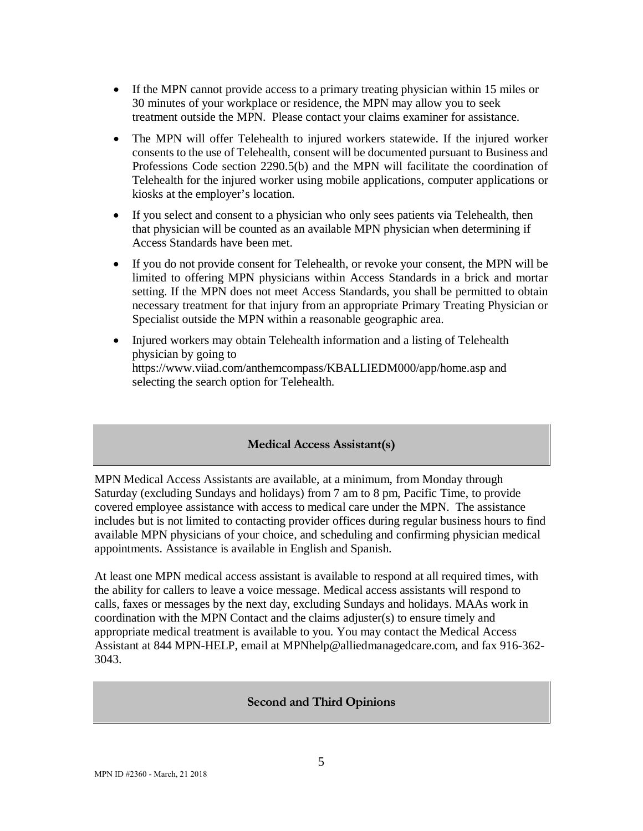- If the MPN cannot provide access to a primary treating physician within 15 miles or 30 minutes of your workplace or residence, the MPN may allow you to seek treatment outside the MPN. Please contact your claims examiner for assistance.
- The MPN will offer Telehealth to injured workers statewide. If the injured worker consents to the use of Telehealth, consent will be documented pursuant to Business and Professions Code section 2290.5(b) and the MPN will facilitate the coordination of Telehealth for the injured worker using mobile applications, computer applications or kiosks at the employer's location.
- If you select and consent to a physician who only sees patients via Telehealth, then that physician will be counted as an available MPN physician when determining if Access Standards have been met.
- If you do not provide consent for Telehealth, or revoke your consent, the MPN will be limited to offering MPN physicians within Access Standards in a brick and mortar setting. If the MPN does not meet Access Standards, you shall be permitted to obtain necessary treatment for that injury from an appropriate Primary Treating Physician or Specialist outside the MPN within a reasonable geographic area.
- Injured workers may obtain Telehealth information and a listing of Telehealth physician by going to https://www.viiad.com/anthemcompass/KBALLIEDM000/app/home.asp and selecting the search option for Telehealth.

# **Medical Access Assistant(s)**

MPN Medical Access Assistants are available, at a minimum, from Monday through Saturday (excluding Sundays and holidays) from 7 am to 8 pm, Pacific Time, to provide covered employee assistance with access to medical care under the MPN. The assistance includes but is not limited to contacting provider offices during regular business hours to find available MPN physicians of your choice, and scheduling and confirming physician medical appointments. Assistance is available in English and Spanish.

At least one MPN medical access assistant is available to respond at all required times, with the ability for callers to leave a voice message. Medical access assistants will respond to calls, faxes or messages by the next day, excluding Sundays and holidays. MAAs work in coordination with the MPN Contact and the claims adjuster(s) to ensure timely and appropriate medical treatment is available to you. You may contact the Medical Access Assistant at 844 MPN-HELP, email at MPNhelp@alliedmanagedcare.com, and fax 916-362- 3043.

#### **Second and Third Opinions**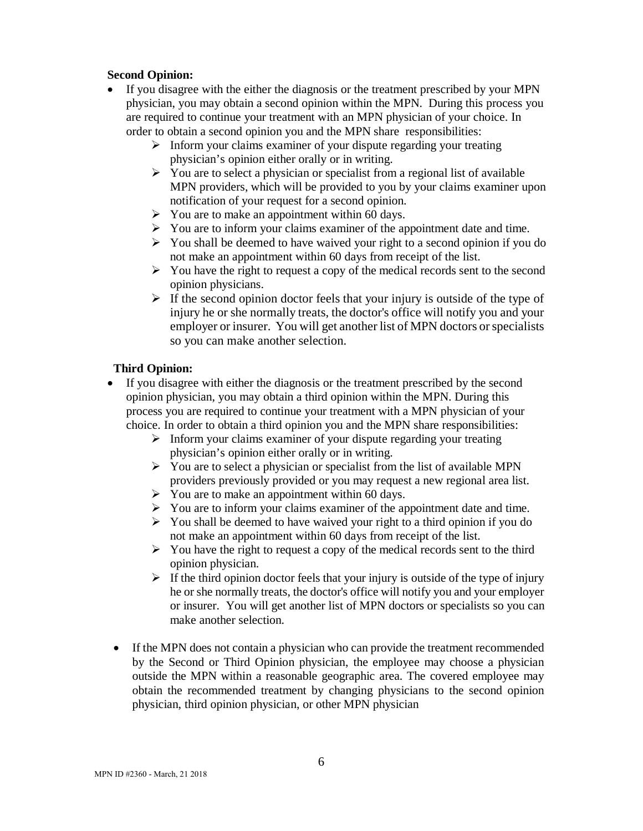#### **Second Opinion:**

- If you disagree with the either the diagnosis or the treatment prescribed by your MPN physician, you may obtain a second opinion within the MPN. During this process you are required to continue your treatment with an MPN physician of your choice. In order to obtain a second opinion you and the MPN share responsibilities:
	- $\triangleright$  Inform your claims examiner of your dispute regarding your treating physician's opinion either orally or in writing.
	- $\triangleright$  You are to select a physician or specialist from a regional list of available MPN providers, which will be provided to you by your claims examiner upon notification of your request for a second opinion.
	- $\triangleright$  You are to make an appointment within 60 days.
	- $\triangleright$  You are to inform your claims examiner of the appointment date and time.
	- $\triangleright$  You shall be deemed to have waived your right to a second opinion if you do not make an appointment within 60 days from receipt of the list.
	- $\triangleright$  You have the right to request a copy of the medical records sent to the second opinion physicians.
	- $\triangleright$  If the second opinion doctor feels that your injury is outside of the type of injury he or she normally treats, the doctor's office will notify you and your employer or insurer. You will get another list of MPN doctors or specialists so you can make another selection.

# **Third Opinion:**

- If you disagree with either the diagnosis or the treatment prescribed by the second opinion physician, you may obtain a third opinion within the MPN. During this process you are required to continue your treatment with a MPN physician of your choice. In order to obtain a third opinion you and the MPN share responsibilities:
	- $\triangleright$  Inform your claims examiner of your dispute regarding your treating physician's opinion either orally or in writing.
	- $\triangleright$  You are to select a physician or specialist from the list of available MPN providers previously provided or you may request a new regional area list.
	- $\triangleright$  You are to make an appointment within 60 days.
	- $\triangleright$  You are to inform your claims examiner of the appointment date and time.
	- $\triangleright$  You shall be deemed to have waived your right to a third opinion if you do not make an appointment within 60 days from receipt of the list.
	- $\triangleright$  You have the right to request a copy of the medical records sent to the third opinion physician.
	- $\triangleright$  If the third opinion doctor feels that your injury is outside of the type of injury he or she normally treats, the doctor's office will notify you and your employer or insurer. You will get another list of MPN doctors or specialists so you can make another selection.
- If the MPN does not contain a physician who can provide the treatment recommended by the Second or Third Opinion physician, the employee may choose a physician outside the MPN within a reasonable geographic area. The covered employee may obtain the recommended treatment by changing physicians to the second opinion physician, third opinion physician, or other MPN physician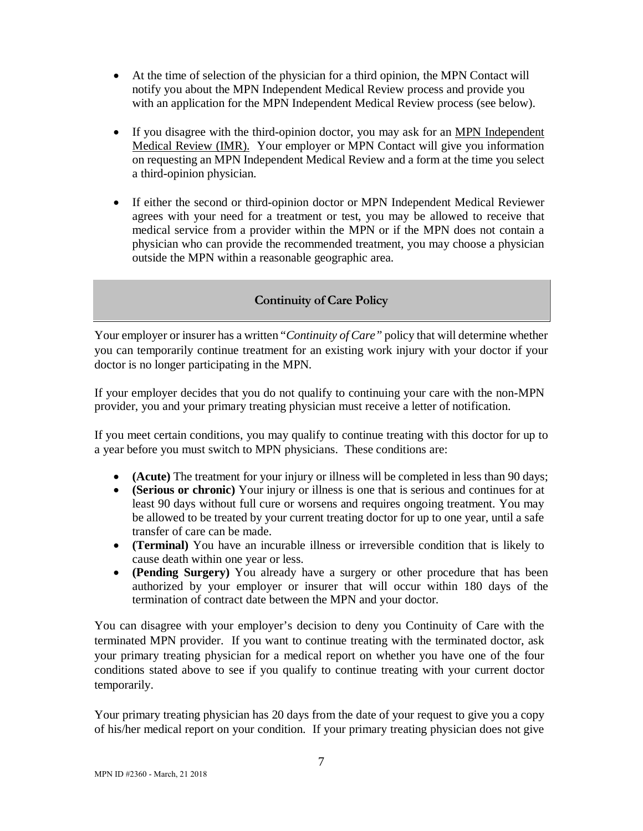- At the time of selection of the physician for a third opinion, the MPN Contact will notify you about the MPN Independent Medical Review process and provide you with an application for the MPN Independent Medical Review process (see below).
- If you disagree with the third-opinion doctor, you may ask for an MPN Independent Medical Review (IMR).Your employer or MPN Contact will give you information on requesting an MPN Independent Medical Review and a form at the time you select a third-opinion physician.
- If either the second or third-opinion doctor or MPN Independent Medical Reviewer agrees with your need for a treatment or test, you may be allowed to receive that medical service from a provider within the MPN or if the MPN does not contain a physician who can provide the recommended treatment, you may choose a physician outside the MPN within a reasonable geographic area.

# **Continuity of Care Policy**

Your employer or insurer has a written "*Continuity of Care"* policy that will determine whether you can temporarily continue treatment for an existing work injury with your doctor if your doctor is no longer participating in the MPN.

If your employer decides that you do not qualify to continuing your care with the non-MPN provider, you and your primary treating physician must receive a letter of notification.

If you meet certain conditions, you may qualify to continue treating with this doctor for up to a year before you must switch to MPN physicians. These conditions are:

- **(Acute)** The treatment for your injury or illness will be completed in less than 90 days;
- **(Serious or chronic)** Your injury or illness is one that is serious and continues for at least 90 days without full cure or worsens and requires ongoing treatment. You may be allowed to be treated by your current treating doctor for up to one year, until a safe transfer of care can be made.
- **(Terminal)** You have an incurable illness or irreversible condition that is likely to cause death within one year or less.
- **(Pending Surgery)** You already have a surgery or other procedure that has been authorized by your employer or insurer that will occur within 180 days of the termination of contract date between the MPN and your doctor.

You can disagree with your employer's decision to deny you Continuity of Care with the terminated MPN provider. If you want to continue treating with the terminated doctor, ask your primary treating physician for a medical report on whether you have one of the four conditions stated above to see if you qualify to continue treating with your current doctor temporarily.

Your primary treating physician has 20 days from the date of your request to give you a copy of his/her medical report on your condition. If your primary treating physician does not give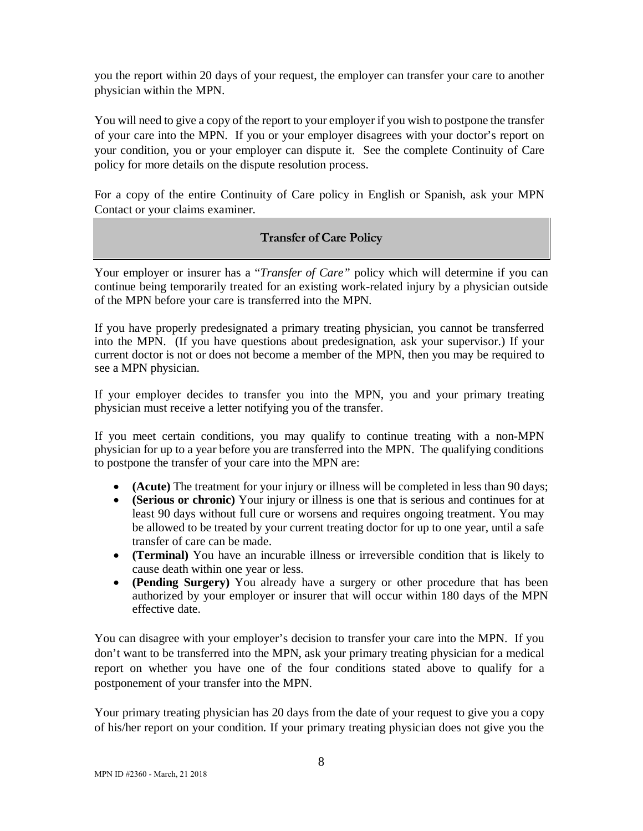you the report within 20 days of your request, the employer can transfer your care to another physician within the MPN.

You will need to give a copy of the report to your employer if you wish to postpone the transfer of your care into the MPN. If you or your employer disagrees with your doctor's report on your condition, you or your employer can dispute it. See the complete Continuity of Care policy for more details on the dispute resolution process.

For a copy of the entire Continuity of Care policy in English or Spanish, ask your MPN Contact or your claims examiner.

# **Transfer of Care Policy**

Your employer or insurer has a "*Transfer of Care"* policy which will determine if you can continue being temporarily treated for an existing work-related injury by a physician outside of the MPN before your care is transferred into the MPN.

If you have properly predesignated a primary treating physician, you cannot be transferred into the MPN. (If you have questions about predesignation, ask your supervisor.) If your current doctor is not or does not become a member of the MPN, then you may be required to see a MPN physician.

If your employer decides to transfer you into the MPN, you and your primary treating physician must receive a letter notifying you of the transfer.

If you meet certain conditions, you may qualify to continue treating with a non-MPN physician for up to a year before you are transferred into the MPN. The qualifying conditions to postpone the transfer of your care into the MPN are:

- **(Acute)** The treatment for your injury or illness will be completed in less than 90 days;
- **(Serious or chronic)** Your injury or illness is one that is serious and continues for at least 90 days without full cure or worsens and requires ongoing treatment. You may be allowed to be treated by your current treating doctor for up to one year, until a safe transfer of care can be made.
- **(Terminal)** You have an incurable illness or irreversible condition that is likely to cause death within one year or less.
- **(Pending Surgery)** You already have a surgery or other procedure that has been authorized by your employer or insurer that will occur within 180 days of the MPN effective date.

You can disagree with your employer's decision to transfer your care into the MPN. If you don't want to be transferred into the MPN, ask your primary treating physician for a medical report on whether you have one of the four conditions stated above to qualify for a postponement of your transfer into the MPN.

Your primary treating physician has 20 days from the date of your request to give you a copy of his/her report on your condition. If your primary treating physician does not give you the